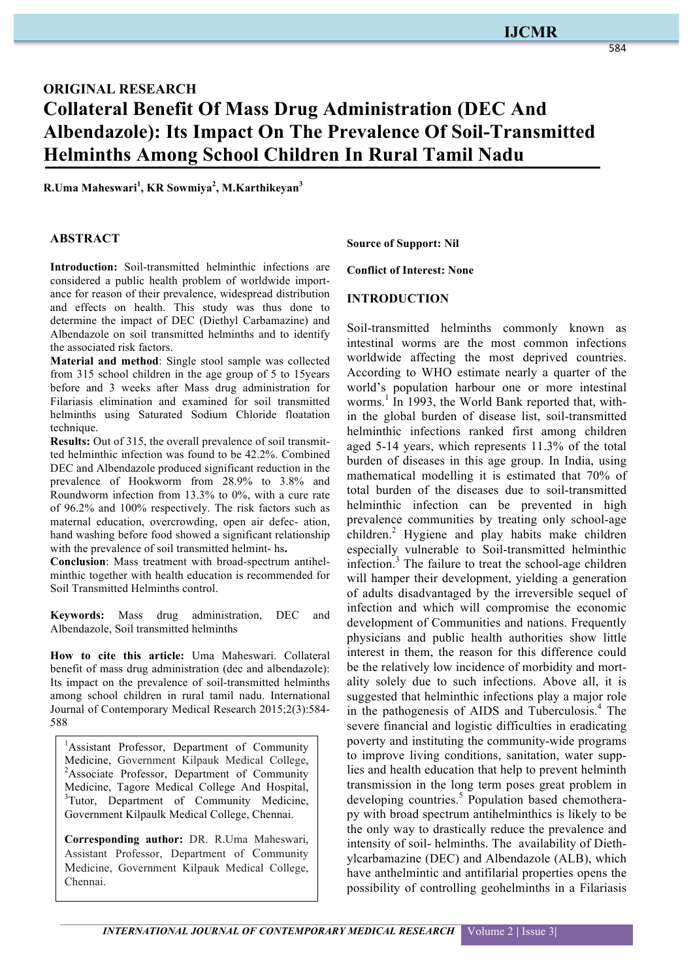# **ORIGINAL RESEARCH Collateral Benefit Of Mass Drug Administration (DEC And Albendazole): Its Impact On The Prevalence Of Soil-Transmitted Helminths Among School Children In Rural Tamil Nadu**

**R.Uma Maheswari<sup>1</sup> , KR Sowmiya<sup>2</sup> , M.Karthikeyan<sup>3</sup>**

#### **ABSTRACT**

**Introduction:** Soil-transmitted helminthic infections are considered a public health problem of worldwide importance for reason of their prevalence, widespread distribution and effects on health. This study was thus done to determine the impact of DEC (Diethyl Carbamazine) and Albendazole on soil transmitted helminths and to identify the associated risk factors.

**Material and method**: Single stool sample was collected from 315 school children in the age group of 5 to 15years before and 3 weeks after Mass drug administration for Filariasis elimination and examined for soil transmitted helminths using Saturated Sodium Chloride floatation technique.

**Results:** Out of 315, the overall prevalence of soil transmitted helminthic infection was found to be 42.2%. Combined DEC and Albendazole produced significant reduction in the prevalence of Hookworm from 28.9% to 3.8% and Roundworm infection from 13.3% to 0%, with a cure rate of 96.2% and 100% respectively. The risk factors such as maternal education, overcrowding, open air defec- ation, hand washing before food showed a significant relationship with the prevalence of soil transmitted helmint- hs**.** 

**Conclusion**: Mass treatment with broad-spectrum antihelminthic together with health education is recommended for Soil Transmitted Helminths control.

**Keywords:** Mass drug administration, DEC and Albendazole, Soil transmitted helminths

**How to cite this article:** Uma Maheswari. Collateral benefit of mass drug administration (dec and albendazole): Its impact on the prevalence of soil-transmitted helminths among school children in rural tamil nadu. International Journal of Contemporary Medical Research 2015;2(3):584- 588

<sup>1</sup>Assistant Professor, Department of Community Medicine, Government Kilpauk Medical College, <sup>2</sup>Associate Professor, Department of Community Medicine, Tagore Medical College And Hospital, <sup>3</sup>Tutor, Department of Community Medicine, Government Kilpaulk Medical College, Chennai.

**Corresponding author:** DR. R.Uma Maheswari, Assistant Professor, Department of Community Medicine, Government Kilpauk Medical College, Chennai.

**Source of Support: Nil**

**Conflict of Interest: None**

#### **INTRODUCTION**

Soil-transmitted helminths commonly known as intestinal worms are the most common infections worldwide affecting the most deprived countries. According to WHO estimate nearly a quarter of the world's population harbour one or more intestinal worms.<sup>1</sup> In 1993, the World Bank reported that, within the global burden of disease list, soil-transmitted helminthic infections ranked first among children aged 5-14 years, which represents 11.3% of the total burden of diseases in this age group. In India, using mathematical modelling it is estimated that 70% of total burden of the diseases due to soil-transmitted helminthic infection can be prevented in high prevalence communities by treating only school-age children.<sup>2</sup> Hygiene and play habits make children especially vulnerable to Soil-transmitted helminthic infection. $3$  The failure to treat the school-age children will hamper their development, yielding a generation of adults disadvantaged by the irreversible sequel of infection and which will compromise the economic development of Communities and nations. Frequently physicians and public health authorities show little interest in them, the reason for this difference could be the relatively low incidence of morbidity and mortality solely due to such infections. Above all, it is suggested that helminthic infections play a major role in the pathogenesis of AIDS and Tuberculosis.<sup>4</sup> The severe financial and logistic difficulties in eradicating poverty and instituting the community-wide programs to improve living conditions, sanitation, water supplies and health education that help to prevent helminth transmission in the long term poses great problem in developing countries.<sup>5</sup> Population based chemotherapy with broad spectrum antihelminthics is likely to be the only way to drastically reduce the prevalence and intensity of soil- helminths. The availability of Diethylcarbamazine (DEC) and Albendazole (ALB), which have anthelmintic and antifilarial properties opens the possibility of controlling geohelminths in a Filariasis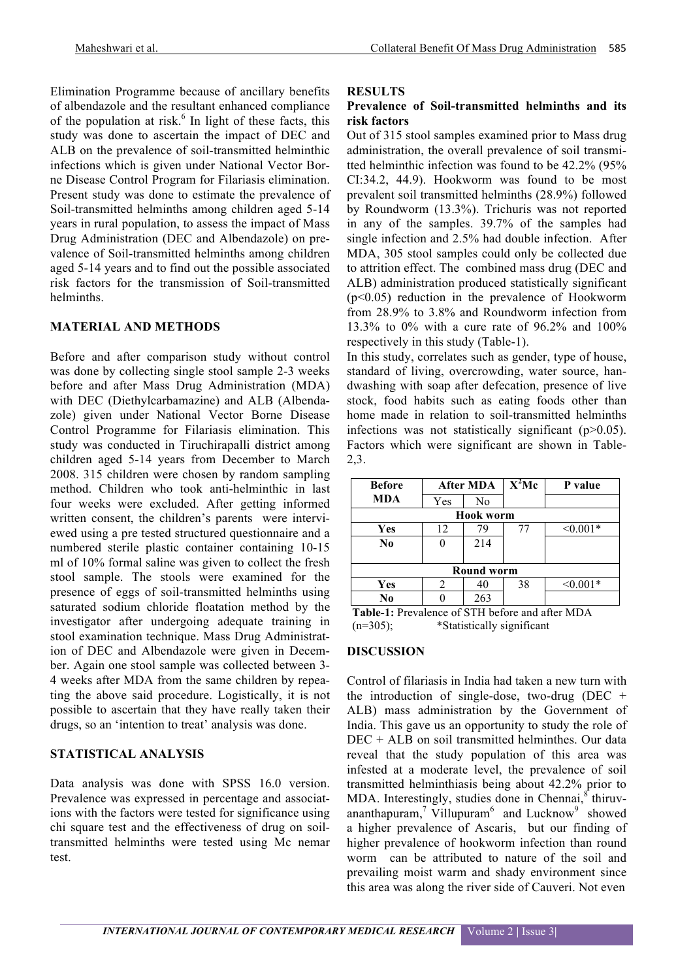Elimination Programme because of ancillary benefits of albendazole and the resultant enhanced compliance of the population at risk. $<sup>6</sup>$  In light of these facts, this</sup> study was done to ascertain the impact of DEC and ALB on the prevalence of soil-transmitted helminthic infections which is given under National Vector Borne Disease Control Program for Filariasis elimination. Present study was done to estimate the prevalence of Soil-transmitted helminths among children aged 5-14 years in rural population, to assess the impact of Mass Drug Administration (DEC and Albendazole) on prevalence of Soil-transmitted helminths among children aged 5-14 years and to find out the possible associated risk factors for the transmission of Soil-transmitted helminths.

#### **MATERIAL AND METHODS**

Before and after comparison study without control was done by collecting single stool sample 2-3 weeks before and after Mass Drug Administration (MDA) with DEC (Diethylcarbamazine) and ALB (Albendazole) given under National Vector Borne Disease Control Programme for Filariasis elimination. This study was conducted in Tiruchirapalli district among children aged 5-14 years from December to March 2008. 315 children were chosen by random sampling method. Children who took anti-helminthic in last four weeks were excluded. After getting informed written consent, the children's parents were interviewed using a pre tested structured questionnaire and a numbered sterile plastic container containing 10-15 ml of 10% formal saline was given to collect the fresh stool sample. The stools were examined for the presence of eggs of soil-transmitted helminths using saturated sodium chloride floatation method by the investigator after undergoing adequate training in stool examination technique. Mass Drug Administration of DEC and Albendazole were given in December. Again one stool sample was collected between 3- 4 weeks after MDA from the same children by repeating the above said procedure. Logistically, it is not possible to ascertain that they have really taken their drugs, so an 'intention to treat' analysis was done.

## **STATISTICAL ANALYSIS**

Data analysis was done with SPSS 16.0 version. Prevalence was expressed in percentage and associations with the factors were tested for significance using chi square test and the effectiveness of drug on soiltransmitted helminths were tested using Mc nemar test.

#### **RESULTS**

## **Prevalence of Soil-transmitted helminths and its risk factors**

Out of 315 stool samples examined prior to Mass drug administration, the overall prevalence of soil transmitted helminthic infection was found to be 42.2% (95% CI:34.2, 44.9). Hookworm was found to be most prevalent soil transmitted helminths (28.9%) followed by Roundworm (13.3%). Trichuris was not reported in any of the samples. 39.7% of the samples had single infection and 2.5% had double infection. After MDA, 305 stool samples could only be collected due to attrition effect. The combined mass drug (DEC and ALB) administration produced statistically significant (p<0.05) reduction in the prevalence of Hookworm from 28.9% to 3.8% and Roundworm infection from 13.3% to 0% with a cure rate of 96.2% and 100% respectively in this study (Table-1).

In this study, correlates such as gender, type of house, standard of living, overcrowding, water source, handwashing with soap after defecation, presence of live stock, food habits such as eating foods other than home made in relation to soil-transmitted helminths infections was not statistically significant  $(p>0.05)$ . Factors which were significant are shown in Table-2,3.

| <b>Before</b>  | After MDA |                   | $X^2$ Mc | P value    |  |
|----------------|-----------|-------------------|----------|------------|--|
| MDA            | Yes       | N <sub>0</sub>    |          |            |  |
|                |           | <b>Hook worm</b>  |          |            |  |
| Yes            | 12        | 79                | 77       | $< 0.001*$ |  |
| N <sub>0</sub> |           | 214               |          |            |  |
|                |           | <b>Round worm</b> |          |            |  |
| Yes            | 2         | 40                | 38       | $< 0.001*$ |  |
| No             |           | 263               |          |            |  |

**Table-1:** Prevalence of STH before and after MDA (n=305); \*Statistically significant

# **DISCUSSION**

Control of filariasis in India had taken a new turn with the introduction of single-dose, two-drug (DEC  $+$ ALB) mass administration by the Government of India. This gave us an opportunity to study the role of DEC + ALB on soil transmitted helminthes. Our data reveal that the study population of this area was infested at a moderate level, the prevalence of soil transmitted helminthiasis being about 42.2% prior to MDA. Interestingly, studies done in Chennai,<sup>8</sup> thiruvananthapuram,<sup>7</sup> Villupuram<sup>6</sup> and Lucknow<sup>9</sup> showed a higher prevalence of Ascaris, but our finding of higher prevalence of hookworm infection than round worm can be attributed to nature of the soil and prevailing moist warm and shady environment since this area was along the river side of Cauveri. Not even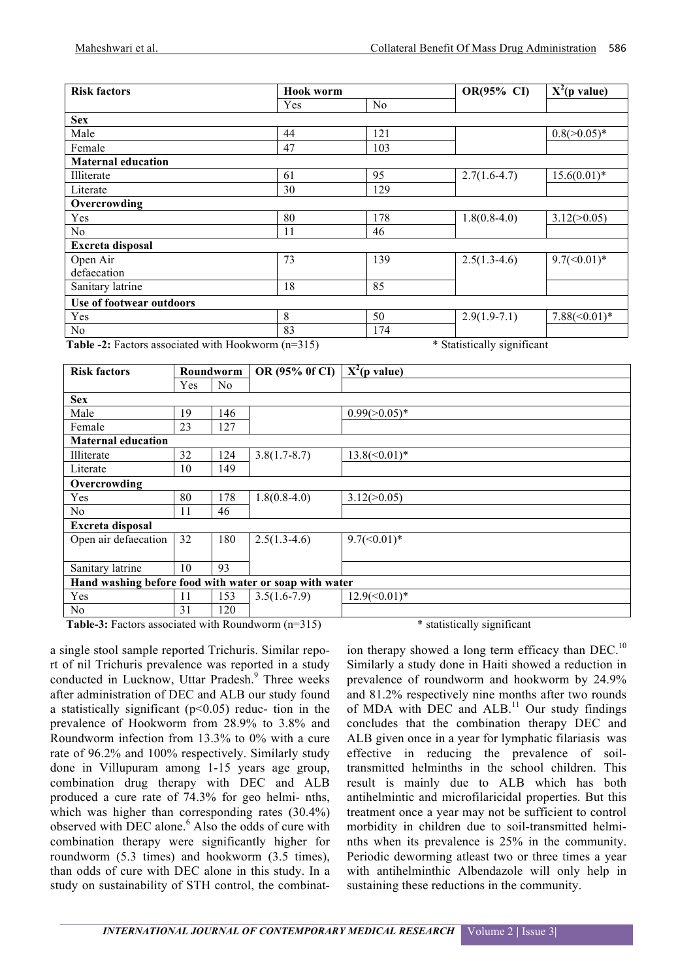| <b>Risk factors</b>                                                                                                                       | <b>Hook worm</b>    |     | OR(95% CI)                                                      | $X^2(p$ value)         |
|-------------------------------------------------------------------------------------------------------------------------------------------|---------------------|-----|-----------------------------------------------------------------|------------------------|
|                                                                                                                                           | Yes                 | No  |                                                                 |                        |
| <b>Sex</b>                                                                                                                                |                     |     |                                                                 |                        |
| Male                                                                                                                                      | 44                  | 121 |                                                                 | $0.8$ ( $> 0.05$ )*    |
| Female                                                                                                                                    | 47                  | 103 |                                                                 |                        |
| <b>Maternal education</b>                                                                                                                 |                     |     |                                                                 |                        |
| Illiterate                                                                                                                                | 61                  | 95  | $2.7(1.6-4.7)$                                                  | $15.6(0.01)*$          |
| Literate                                                                                                                                  | 30                  | 129 |                                                                 |                        |
| Overcrowding                                                                                                                              |                     |     |                                                                 |                        |
| Yes                                                                                                                                       | 80                  | 178 | $1.8(0.8-4.0)$                                                  | 3.12(>0.05)            |
| No                                                                                                                                        | 11                  | 46  |                                                                 |                        |
| <b>Excreta disposal</b>                                                                                                                   |                     |     |                                                                 |                        |
| Open Air                                                                                                                                  | 73                  | 139 | $2.5(1.3-4.6)$                                                  | $9.7 \times (0.01)^*$  |
| defaecation                                                                                                                               |                     |     |                                                                 |                        |
| Sanitary latrine                                                                                                                          | 18                  | 85  |                                                                 |                        |
| Use of footwear outdoors                                                                                                                  |                     |     |                                                                 |                        |
| Yes                                                                                                                                       | 8                   | 50  | $2.9(1.9-7.1)$                                                  | $7.88 \times (0.01)^*$ |
| N <sub>0</sub><br>$\mathbf{r}$ and $\mathbf{r}$ and $\mathbf{r}$ and $\mathbf{r}$ and $\mathbf{r}$ and $\mathbf{r}$ and $\mathbf{r}$<br>. | 83<br>$\sim$ $\sim$ | 174 | $\mathbf{a}$ and $\mathbf{a}$ and $\mathbf{a}$ and $\mathbf{a}$ |                        |

**Table -2:** Factors associated with Hookworm (n=315) \* Statistically significant

| <b>Risk factors</b>                                    |            | Roundworm      | OR (95% of CI) | $X^2(p \text{ value})$ |  |
|--------------------------------------------------------|------------|----------------|----------------|------------------------|--|
|                                                        | <b>Yes</b> | N <sub>0</sub> |                |                        |  |
| <b>Sex</b>                                             |            |                |                |                        |  |
| Male                                                   | 19         | 146            |                | $0.99(>0.05)*$         |  |
| Female                                                 | 23         | 127            |                |                        |  |
| <b>Maternal education</b>                              |            |                |                |                        |  |
| Illiterate                                             | 32         | 124            | $3.8(1.7-8.7)$ | $13.8 \times (0.01)^*$ |  |
| Literate                                               | 10         | 149            |                |                        |  |
| Overcrowding                                           |            |                |                |                        |  |
| Yes                                                    | 80         | 178            | $1.8(0.8-4.0)$ | 3.12(>0.05)            |  |
| No.                                                    | 11         | 46             |                |                        |  |
| Excreta disposal                                       |            |                |                |                        |  |
| Open air defaecation                                   | 32         | 180            | $2.5(1.3-4.6)$ | $9.7 \times (0.01)^*$  |  |
|                                                        |            |                |                |                        |  |
| Sanitary latrine                                       | 10         | 93             |                |                        |  |
| Hand washing before food with water or soap with water |            |                |                |                        |  |
| Yes                                                    | 11         | 153            | $3.5(1.6-7.9)$ | $12.9 \times (0.01)^*$ |  |
| No                                                     | 31         | 120            |                |                        |  |

**Table-3:** Factors associated with Roundworm (n=315) \* statistically significant

a single stool sample reported Trichuris. Similar report of nil Trichuris prevalence was reported in a study conducted in Lucknow, Uttar Pradesh.<sup>9</sup> Three weeks after administration of DEC and ALB our study found a statistically significant  $(p<0.05)$  reduc- tion in the prevalence of Hookworm from 28.9% to 3.8% and Roundworm infection from 13.3% to 0% with a cure rate of 96.2% and 100% respectively. Similarly study done in Villupuram among 1-15 years age group, combination drug therapy with DEC and ALB produced a cure rate of 74.3% for geo helmi- nths, which was higher than corresponding rates (30.4%) observed with DEC alone.<sup>6</sup> Also the odds of cure with combination therapy were significantly higher for roundworm (5.3 times) and hookworm (3.5 times), than odds of cure with DEC alone in this study. In a study on sustainability of STH control, the combinat-

ion therapy showed a long term efficacy than DEC.<sup>10</sup> Similarly a study done in Haiti showed a reduction in prevalence of roundworm and hookworm by 24.9% and 81.2% respectively nine months after two rounds of MDA with DEC and ALB.<sup>11</sup> Our study findings concludes that the combination therapy DEC and ALB given once in a year for lymphatic filariasis was effective in reducing the prevalence of soiltransmitted helminths in the school children. This result is mainly due to ALB which has both antihelmintic and microfilaricidal properties. But this treatment once a year may not be sufficient to control morbidity in children due to soil-transmitted helminths when its prevalence is 25% in the community. Periodic deworming atleast two or three times a year with antihelminthic Albendazole will only help in sustaining these reductions in the community.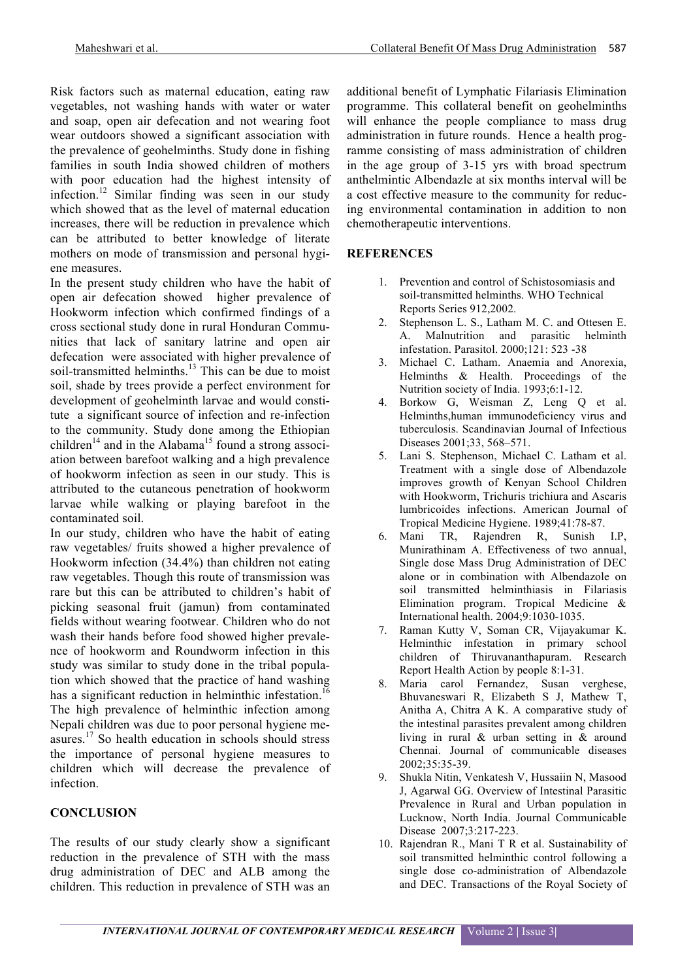Risk factors such as maternal education, eating raw vegetables, not washing hands with water or water and soap, open air defecation and not wearing foot wear outdoors showed a significant association with the prevalence of geohelminths. Study done in fishing families in south India showed children of mothers with poor education had the highest intensity of infection.<sup>12</sup> Similar finding was seen in our study which showed that as the level of maternal education increases, there will be reduction in prevalence which can be attributed to better knowledge of literate mothers on mode of transmission and personal hygiene measures.

In the present study children who have the habit of open air defecation showed higher prevalence of Hookworm infection which confirmed findings of a cross sectional study done in rural Honduran Communities that lack of sanitary latrine and open air defecation were associated with higher prevalence of soil-transmitted helminths.<sup>13</sup> This can be due to moist soil, shade by trees provide a perfect environment for development of geohelminth larvae and would constitute a significant source of infection and re-infection to the community. Study done among the Ethiopian children<sup>14</sup> and in the Alabama<sup>15</sup> found a strong association between barefoot walking and a high prevalence of hookworm infection as seen in our study. This is attributed to the cutaneous penetration of hookworm larvae while walking or playing barefoot in the contaminated soil.

In our study, children who have the habit of eating raw vegetables/ fruits showed a higher prevalence of Hookworm infection (34.4%) than children not eating raw vegetables. Though this route of transmission was rare but this can be attributed to children's habit of picking seasonal fruit (jamun) from contaminated fields without wearing footwear. Children who do not wash their hands before food showed higher prevalence of hookworm and Roundworm infection in this study was similar to study done in the tribal population which showed that the practice of hand washing has a significant reduction in helminthic infestation.<sup>16</sup> The high prevalence of helminthic infection among

Nepali children was due to poor personal hygiene measures.<sup>17</sup> So health education in schools should stress the importance of personal hygiene measures to children which will decrease the prevalence of infection.

## **CONCLUSION**

The results of our study clearly show a significant reduction in the prevalence of STH with the mass drug administration of DEC and ALB among the children. This reduction in prevalence of STH was an additional benefit of Lymphatic Filariasis Elimination programme. This collateral benefit on geohelminths will enhance the people compliance to mass drug administration in future rounds. Hence a health programme consisting of mass administration of children in the age group of 3-15 yrs with broad spectrum anthelmintic Albendazle at six months interval will be a cost effective measure to the community for reducing environmental contamination in addition to non chemotherapeutic interventions.

## **REFERENCES**

- 1. Prevention and control of Schistosomiasis and soil-transmitted helminths. WHO Technical Reports Series 912,2002.
- 2. Stephenson L. S., Latham M. C. and Ottesen E. A. Malnutrition and parasitic helminth infestation. Parasitol. 2000;121: 523 -38
- 3. Michael C. Latham. Anaemia and Anorexia, Helminths & Health. Proceedings of the Nutrition society of India. 1993;6:1-12.
- 4. Borkow G, Weisman Z, Leng Q et al. Helminths,human immunodeficiency virus and tuberculosis. Scandinavian Journal of Infectious Diseases 2001;33, 568–571.
- 5. Lani S. Stephenson, Michael C. Latham et al. Treatment with a single dose of Albendazole improves growth of Kenyan School Children with Hookworm, Trichuris trichiura and Ascaris lumbricoides infections. American Journal of Tropical Medicine Hygiene. 1989;41:78-87.
- 6. Mani TR, Rajendren R, Sunish I.P, Munirathinam A. Effectiveness of two annual, Single dose Mass Drug Administration of DEC alone or in combination with Albendazole on soil transmitted helminthiasis in Filariasis Elimination program. Tropical Medicine & International health. 2004;9:1030-1035.
- 7. Raman Kutty V, Soman CR, Vijayakumar K. Helminthic infestation in primary school children of Thiruvananthapuram. Research Report Health Action by people 8:1-31.
- 8. Maria carol Fernandez, Susan verghese, Bhuvaneswari R, Elizabeth S J, Mathew T, Anitha A, Chitra A K. A comparative study of the intestinal parasites prevalent among children living in rural & urban setting in & around Chennai. Journal of communicable diseases 2002;35:35-39.
- 9. Shukla Nitin, Venkatesh V, Hussaiin N, Masood J, Agarwal GG. Overview of Intestinal Parasitic Prevalence in Rural and Urban population in Lucknow, North India. Journal Communicable Disease 2007;3:217-223.
- 10. Rajendran R., Mani T R et al. Sustainability of soil transmitted helminthic control following a single dose co-administration of Albendazole and DEC. Transactions of the Royal Society of